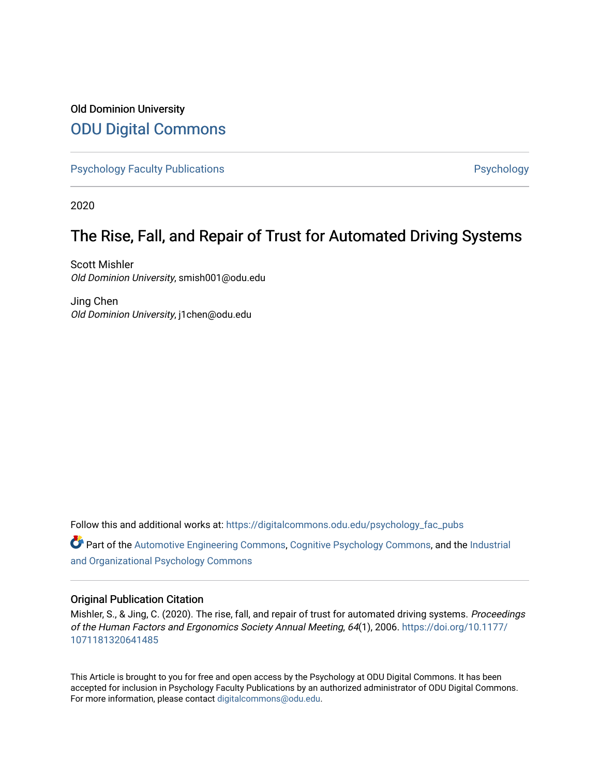## Old Dominion University [ODU Digital Commons](https://digitalcommons.odu.edu/)

[Psychology Faculty Publications](https://digitalcommons.odu.edu/psychology_fac_pubs) **Psychology** Psychology

2020

# The Rise, Fall, and Repair of Trust for Automated Driving Systems

Scott Mishler Old Dominion University, smish001@odu.edu

Jing Chen Old Dominion University, j1chen@odu.edu

Follow this and additional works at: [https://digitalcommons.odu.edu/psychology\\_fac\\_pubs](https://digitalcommons.odu.edu/psychology_fac_pubs?utm_source=digitalcommons.odu.edu%2Fpsychology_fac_pubs%2F122&utm_medium=PDF&utm_campaign=PDFCoverPages)

Part of the [Automotive Engineering Commons,](http://network.bepress.com/hgg/discipline/1319?utm_source=digitalcommons.odu.edu%2Fpsychology_fac_pubs%2F122&utm_medium=PDF&utm_campaign=PDFCoverPages) [Cognitive Psychology Commons,](http://network.bepress.com/hgg/discipline/408?utm_source=digitalcommons.odu.edu%2Fpsychology_fac_pubs%2F122&utm_medium=PDF&utm_campaign=PDFCoverPages) and the [Industrial](http://network.bepress.com/hgg/discipline/412?utm_source=digitalcommons.odu.edu%2Fpsychology_fac_pubs%2F122&utm_medium=PDF&utm_campaign=PDFCoverPages) [and Organizational Psychology Commons](http://network.bepress.com/hgg/discipline/412?utm_source=digitalcommons.odu.edu%2Fpsychology_fac_pubs%2F122&utm_medium=PDF&utm_campaign=PDFCoverPages) 

## Original Publication Citation

Mishler, S., & Jing, C. (2020). The rise, fall, and repair of trust for automated driving systems. Proceedings of the Human Factors and Ergonomics Society Annual Meeting, 64(1), 2006. [https://doi.org/10.1177/](https://doi.org/10.1177/1071181320641485) [1071181320641485](https://doi.org/10.1177/1071181320641485) 

This Article is brought to you for free and open access by the Psychology at ODU Digital Commons. It has been accepted for inclusion in Psychology Faculty Publications by an authorized administrator of ODU Digital Commons. For more information, please contact [digitalcommons@odu.edu](mailto:digitalcommons@odu.edu).